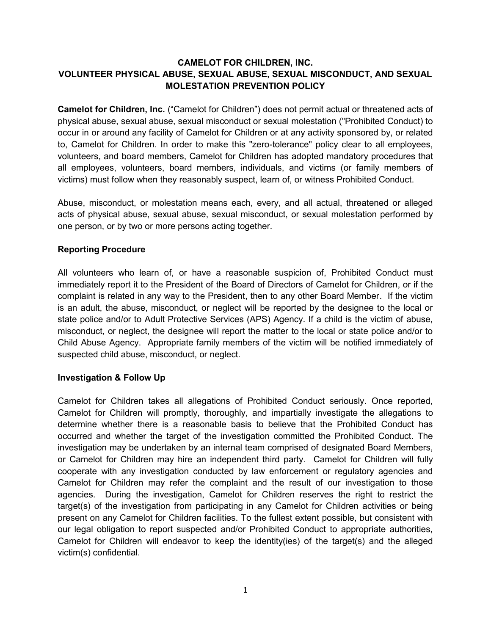## **CAMELOT FOR CHILDREN, INC. VOLUNTEER PHYSICAL ABUSE, SEXUAL ABUSE, SEXUAL MISCONDUCT, AND SEXUAL MOLESTATION PREVENTION POLICY**

**Camelot for Children, Inc.** ("Camelot for Children") does not permit actual or threatened acts of physical abuse, sexual abuse, sexual misconduct or sexual molestation ("Prohibited Conduct) to occur in or around any facility of Camelot for Children or at any activity sponsored by, or related to, Camelot for Children. In order to make this "zero-tolerance" policy clear to all employees, volunteers, and board members, Camelot for Children has adopted mandatory procedures that all employees, volunteers, board members, individuals, and victims (or family members of victims) must follow when they reasonably suspect, learn of, or witness Prohibited Conduct.

Abuse, misconduct, or molestation means each, every, and all actual, threatened or alleged acts of physical abuse, sexual abuse, sexual misconduct, or sexual molestation performed by one person, or by two or more persons acting together.

## **Reporting Procedure**

All volunteers who learn of, or have a reasonable suspicion of, Prohibited Conduct must immediately report it to the President of the Board of Directors of Camelot for Children, or if the complaint is related in any way to the President, then to any other Board Member. If the victim is an adult, the abuse, misconduct, or neglect will be reported by the designee to the local or state police and/or to Adult Protective Services (APS) Agency. If a child is the victim of abuse, misconduct, or neglect, the designee will report the matter to the local or state police and/or to Child Abuse Agency. Appropriate family members of the victim will be notified immediately of suspected child abuse, misconduct, or neglect.

## **Investigation & Follow Up**

Camelot for Children takes all allegations of Prohibited Conduct seriously. Once reported, Camelot for Children will promptly, thoroughly, and impartially investigate the allegations to determine whether there is a reasonable basis to believe that the Prohibited Conduct has occurred and whether the target of the investigation committed the Prohibited Conduct. The investigation may be undertaken by an internal team comprised of designated Board Members, or Camelot for Children may hire an independent third party. Camelot for Children will fully cooperate with any investigation conducted by law enforcement or regulatory agencies and Camelot for Children may refer the complaint and the result of our investigation to those agencies. During the investigation, Camelot for Children reserves the right to restrict the target(s) of the investigation from participating in any Camelot for Children activities or being present on any Camelot for Children facilities. To the fullest extent possible, but consistent with our legal obligation to report suspected and/or Prohibited Conduct to appropriate authorities, Camelot for Children will endeavor to keep the identity(ies) of the target(s) and the alleged victim(s) confidential.